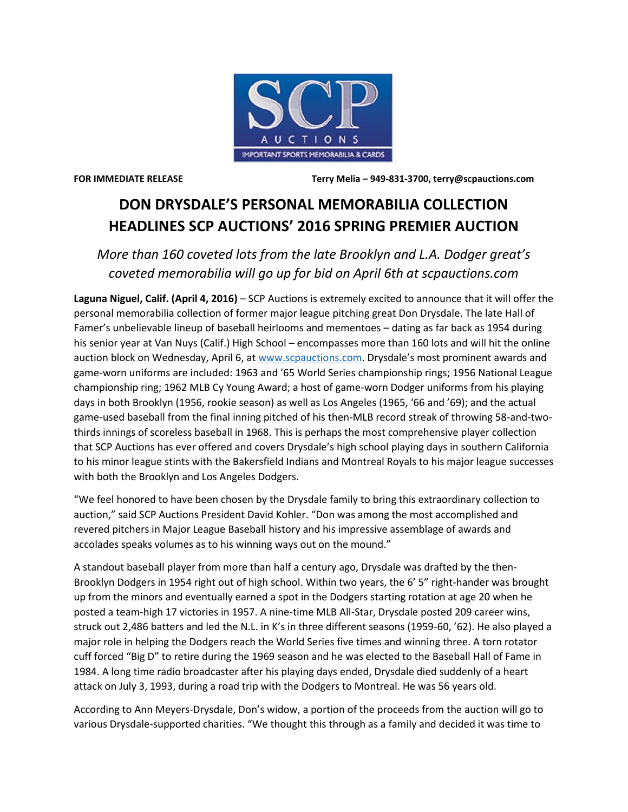

**FOR IMMEDIATE RELEASE Terry Melia – 949-831-3700, terry@scpauctions.com**

## **DON DRYSDALE'S PERSONAL MEMORABILIA COLLECTION HEADLINES SCP AUCTIONS' 2016 SPRING PREMIER AUCTION**

*More than 160 coveted lots from the late Brooklyn and L.A. Dodger great's coveted memorabilia will go up for bid on April 6th at scpauctions.com* 

**Laguna Niguel, Calif. (April 4, 2016)** – SCP Auctions is extremely excited to announce that it will offer the personal memorabilia collection of former major league pitching great Don Drysdale. The late Hall of Famer's unbelievable lineup of baseball heirlooms and mementoes – dating as far back as 1954 during his senior year at Van Nuys (Calif.) High School – encompasses more than 160 lots and will hit the online auction block on Wednesday, April 6, at [www.scpauctions.com](http://www.scpauctions.com/). Drysdale's most prominent awards and game-worn uniforms are included: 1963 and '65 World Series championship rings; 1956 National League championship ring; 1962 MLB Cy Young Award; a host of game-worn Dodger uniforms from his playing days in both Brooklyn (1956, rookie season) as well as Los Angeles (1965, '66 and '69); and the actual game-used baseball from the final inning pitched of his then-MLB record streak of throwing 58-and-twothirds innings of scoreless baseball in 1968. This is perhaps the most comprehensive player collection that SCP Auctions has ever offered and covers Drysdale's high school playing days in southern California to his minor league stints with the Bakersfield Indians and Montreal Royals to his major league successes with both the Brooklyn and Los Angeles Dodgers.

"We feel honored to have been chosen by the Drysdale family to bring this extraordinary collection to auction," said SCP Auctions President David Kohler. "Don was among the most accomplished and revered pitchers in Major League Baseball history and his impressive assemblage of awards and accolades speaks volumes as to his winning ways out on the mound."

A standout baseball player from more than half a century ago, Drysdale was drafted by the then-Brooklyn Dodgers in 1954 right out of high school. Within two years, the 6' 5" right-hander was brought up from the minors and eventually earned a spot in the Dodgers starting rotation at age 20 when he posted a team-high 17 victories in 1957. A nine-time MLB All-Star, Drysdale posted 209 career wins, struck out 2,486 batters and led the N.L. in K's in three different seasons (1959-60, '62). He also played a major role in helping the Dodgers reach the World Series five times and winning three. A torn rotator cuff forced "Big D" to retire during the 1969 season and he was elected to the Baseball Hall of Fame in 1984. A long time radio broadcaster after his playing days ended, Drysdale died suddenly of a heart attack on July 3, 1993, during a road trip with the Dodgers to Montreal. He was 56 years old.

According to Ann Meyers-Drysdale, Don's widow, a portion of the proceeds from the auction will go to various Drysdale-supported charities. "We thought this through as a family and decided it was time to